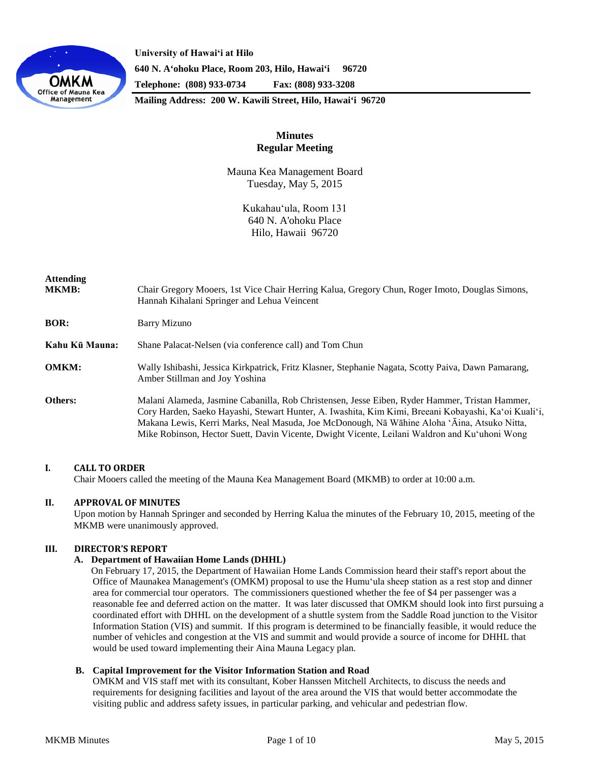

**University of Hawaiʻi at Hilo 640 N. A'ohoku Place, Room 203, Hilo, Hawai'i 96720 Telephone: (808) 933-0734 Fax: (808) 933-3208**

**Mailing Address: 200 W. Kawili Street, Hilo, Hawai'i 96720**

# **Minutes Regular Meeting**

Mauna Kea Management Board Tuesday, May 5, 2015

> Kukahauʻula, Room 131 640 N. A'ohoku Place Hilo, Hawaii 96720

| <b>Attending</b><br><b>MKMB:</b> | Chair Gregory Mooers, 1st Vice Chair Herring Kalua, Gregory Chun, Roger Imoto, Douglas Simons,<br>Hannah Kihalani Springer and Lehua Veincent                                                                                                                                                                                                                                                          |
|----------------------------------|--------------------------------------------------------------------------------------------------------------------------------------------------------------------------------------------------------------------------------------------------------------------------------------------------------------------------------------------------------------------------------------------------------|
| <b>BOR:</b>                      | <b>Barry Mizuno</b>                                                                                                                                                                                                                                                                                                                                                                                    |
| Kahu Kū Mauna:                   | Shane Palacat-Nelsen (via conference call) and Tom Chun                                                                                                                                                                                                                                                                                                                                                |
| <b>OMKM:</b>                     | Wally Ishibashi, Jessica Kirkpatrick, Fritz Klasner, Stephanie Nagata, Scotty Paiva, Dawn Pamarang,<br>Amber Stillman and Joy Yoshina                                                                                                                                                                                                                                                                  |
| Others:                          | Malani Alameda, Jasmine Cabanilla, Rob Christensen, Jesse Eiben, Ryder Hammer, Tristan Hammer,<br>Cory Harden, Saeko Hayashi, Stewart Hunter, A. Iwashita, Kim Kimi, Breeani Kobayashi, Ka'oi Kuali'i,<br>Makana Lewis, Kerri Marks, Neal Masuda, Joe McDonough, Nā Wāhine Aloha 'Āina, Atsuko Nitta,<br>Mike Robinson, Hector Suett, Davin Vicente, Dwight Vicente, Leilani Waldron and Ku'uhoni Wong |

## **I. CALL TO ORDER**

Chair Mooers called the meeting of the Mauna Kea Management Board (MKMB) to order at 10:00 a.m.

## **II. APPROVAL OF MINUTES**

Upon motion by Hannah Springer and seconded by Herring Kalua the minutes of the February 10, 2015, meeting of the MKMB were unanimously approved.

## **III. DIRECTOR'S REPORT**

## **A. Department of Hawaiian Home Lands (DHHL)**

On February 17, 2015, the Department of Hawaiian Home Lands Commission heard their staff's report about the Office of Maunakea Management's (OMKM) proposal to use the Humuʻula sheep station as a rest stop and dinner area for commercial tour operators. The commissioners questioned whether the fee of \$4 per passenger was a reasonable fee and deferred action on the matter. It was later discussed that OMKM should look into first pursuing a coordinated effort with DHHL on the development of a shuttle system from the Saddle Road junction to the Visitor Information Station (VIS) and summit. If this program is determined to be financially feasible, it would reduce the number of vehicles and congestion at the VIS and summit and would provide a source of income for DHHL that would be used toward implementing their Aina Mauna Legacy plan.

## **B. Capital Improvement for the Visitor Information Station and Road**

OMKM and VIS staff met with its consultant, Kober Hanssen Mitchell Architects, to discuss the needs and requirements for designing facilities and layout of the area around the VIS that would better accommodate the visiting public and address safety issues, in particular parking, and vehicular and pedestrian flow.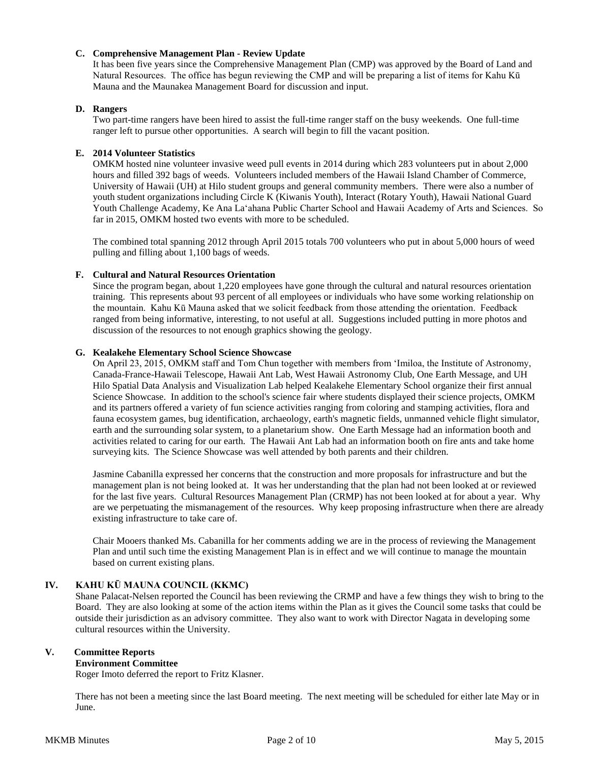## **C. Comprehensive Management Plan - Review Update**

It has been five years since the Comprehensive Management Plan (CMP) was approved by the Board of Land and Natural Resources. The office has begun reviewing the CMP and will be preparing a list of items for Kahu Kū Mauna and the Maunakea Management Board for discussion and input.

## **D. Rangers**

Two part-time rangers have been hired to assist the full-time ranger staff on the busy weekends. One full-time ranger left to pursue other opportunities. A search will begin to fill the vacant position.

## **E. 2014 Volunteer Statistics**

OMKM hosted nine volunteer invasive weed pull events in 2014 during which 283 volunteers put in about 2,000 hours and filled 392 bags of weeds. Volunteers included members of the Hawaii Island Chamber of Commerce, University of Hawaii (UH) at Hilo student groups and general community members. There were also a number of youth student organizations including Circle K (Kiwanis Youth), Interact (Rotary Youth), Hawaii National Guard Youth Challenge Academy, Ke Ana Laʻahana Public Charter School and Hawaii Academy of Arts and Sciences. So far in 2015, OMKM hosted two events with more to be scheduled.

The combined total spanning 2012 through April 2015 totals 700 volunteers who put in about 5,000 hours of weed pulling and filling about 1,100 bags of weeds.

## **F. Cultural and Natural Resources Orientation**

Since the program began, about 1,220 employees have gone through the cultural and natural resources orientation training. This represents about 93 percent of all employees or individuals who have some working relationship on the mountain. Kahu Kū Mauna asked that we solicit feedback from those attending the orientation. Feedback ranged from being informative, interesting, to not useful at all. Suggestions included putting in more photos and discussion of the resources to not enough graphics showing the geology.

## **G. Kealakehe Elementary School Science Showcase**

On April 23, 2015, OMKM staff and Tom Chun together with members from ʻImiloa, the Institute of Astronomy, Canada-France-Hawaii Telescope, Hawaii Ant Lab, West Hawaii Astronomy Club, One Earth Message, and UH Hilo Spatial Data Analysis and Visualization Lab helped Kealakehe Elementary School organize their first annual Science Showcase. In addition to the school's science fair where students displayed their science projects, OMKM and its partners offered a variety of fun science activities ranging from coloring and stamping activities, flora and fauna ecosystem games, bug identification, archaeology, earth's magnetic fields, unmanned vehicle flight simulator, earth and the surrounding solar system, to a planetarium show. One Earth Message had an information booth and activities related to caring for our earth. The Hawaii Ant Lab had an information booth on fire ants and take home surveying kits. The Science Showcase was well attended by both parents and their children.

Jasmine Cabanilla expressed her concerns that the construction and more proposals for infrastructure and but the management plan is not being looked at. It was her understanding that the plan had not been looked at or reviewed for the last five years. Cultural Resources Management Plan (CRMP) has not been looked at for about a year. Why are we perpetuating the mismanagement of the resources. Why keep proposing infrastructure when there are already existing infrastructure to take care of.

Chair Mooers thanked Ms. Cabanilla for her comments adding we are in the process of reviewing the Management Plan and until such time the existing Management Plan is in effect and we will continue to manage the mountain based on current existing plans.

# **IV. KAHU KŪ MAUNA COUNCIL (KKMC)**

Shane Palacat-Nelsen reported the Council has been reviewing the CRMP and have a few things they wish to bring to the Board. They are also looking at some of the action items within the Plan as it gives the Council some tasks that could be outside their jurisdiction as an advisory committee. They also want to work with Director Nagata in developing some cultural resources within the University.

## **V. Committee Reports**

## **Environment Committee**

Roger Imoto deferred the report to Fritz Klasner.

There has not been a meeting since the last Board meeting. The next meeting will be scheduled for either late May or in **Iune**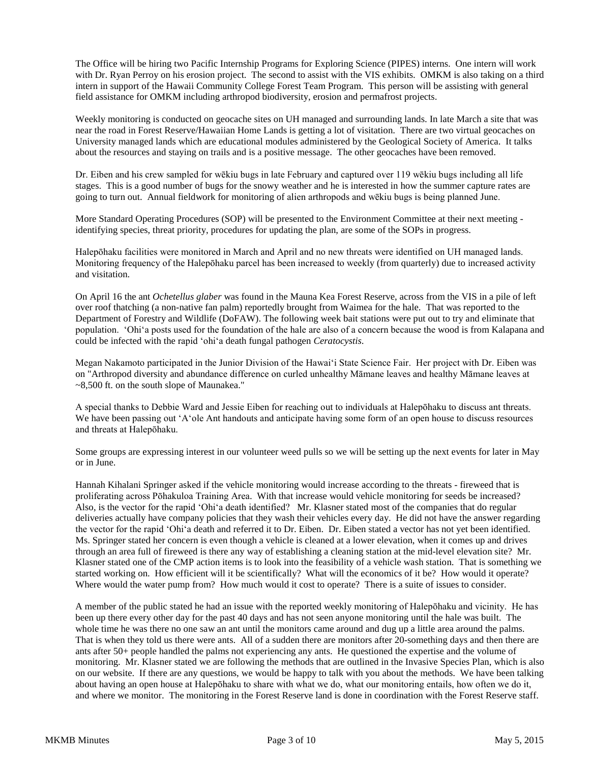The Office will be hiring two Pacific Internship Programs for Exploring Science (PIPES) interns. One intern will work with Dr. Ryan Perroy on his erosion project. The second to assist with the VIS exhibits. OMKM is also taking on a third intern in support of the Hawaii Community College Forest Team Program. This person will be assisting with general field assistance for OMKM including arthropod biodiversity, erosion and permafrost projects.

Weekly monitoring is conducted on geocache sites on UH managed and surrounding lands. In late March a site that was near the road in Forest Reserve/Hawaiian Home Lands is getting a lot of visitation. There are two virtual geocaches on University managed lands which are educational modules administered by the Geological Society of America. It talks about the resources and staying on trails and is a positive message. The other geocaches have been removed.

Dr. Eiben and his crew sampled for wēkiu bugs in late February and captured over 119 wēkiu bugs including all life stages. This is a good number of bugs for the snowy weather and he is interested in how the summer capture rates are going to turn out. Annual fieldwork for monitoring of alien arthropods and wēkiu bugs is being planned June.

More Standard Operating Procedures (SOP) will be presented to the Environment Committee at their next meeting identifying species, threat priority, procedures for updating the plan, are some of the SOPs in progress.

Halepōhaku facilities were monitored in March and April and no new threats were identified on UH managed lands. Monitoring frequency of the Halepōhaku parcel has been increased to weekly (from quarterly) due to increased activity and visitation.

On April 16 the ant *Ochetellus glaber* was found in the Mauna Kea Forest Reserve, across from the VIS in a pile of left over roof thatching (a non-native fan palm) reportedly brought from Waimea for the hale. That was reported to the Department of Forestry and Wildlife (DoFAW). The following week bait stations were put out to try and eliminate that population. ʻOhiʻa posts used for the foundation of the hale are also of a concern because the wood is from Kalapana and could be infected with the rapid ʻohiʻa death fungal pathogen *Ceratocystis*.

Megan Nakamoto participated in the Junior Division of the Hawaiʻi State Science Fair. Her project with Dr. Eiben was on "Arthropod diversity and abundance difference on curled unhealthy Māmane leaves and healthy Māmane leaves at ~8,500 ft. on the south slope of Maunakea."

A special thanks to Debbie Ward and Jessie Eiben for reaching out to individuals at Halepōhaku to discuss ant threats. We have been passing out 'A'ole Ant handouts and anticipate having some form of an open house to discuss resources and threats at Halepōhaku.

Some groups are expressing interest in our volunteer weed pulls so we will be setting up the next events for later in May or in June.

Hannah Kihalani Springer asked if the vehicle monitoring would increase according to the threats - fireweed that is proliferating across Pōhakuloa Training Area. With that increase would vehicle monitoring for seeds be increased? Also, is the vector for the rapid ʻOhiʻa death identified? Mr. Klasner stated most of the companies that do regular deliveries actually have company policies that they wash their vehicles every day. He did not have the answer regarding the vector for the rapid ʻOhiʻa death and referred it to Dr. Eiben. Dr. Eiben stated a vector has not yet been identified. Ms. Springer stated her concern is even though a vehicle is cleaned at a lower elevation, when it comes up and drives through an area full of fireweed is there any way of establishing a cleaning station at the mid-level elevation site? Mr. Klasner stated one of the CMP action items is to look into the feasibility of a vehicle wash station. That is something we started working on. How efficient will it be scientifically? What will the economics of it be? How would it operate? Where would the water pump from? How much would it cost to operate? There is a suite of issues to consider.

A member of the public stated he had an issue with the reported weekly monitoring of Halepōhaku and vicinity. He has been up there every other day for the past 40 days and has not seen anyone monitoring until the hale was built. The whole time he was there no one saw an ant until the monitors came around and dug up a little area around the palms. That is when they told us there were ants. All of a sudden there are monitors after 20-something days and then there are ants after 50+ people handled the palms not experiencing any ants. He questioned the expertise and the volume of monitoring. Mr. Klasner stated we are following the methods that are outlined in the Invasive Species Plan, which is also on our website. If there are any questions, we would be happy to talk with you about the methods. We have been talking about having an open house at Halepōhaku to share with what we do, what our monitoring entails, how often we do it, and where we monitor. The monitoring in the Forest Reserve land is done in coordination with the Forest Reserve staff.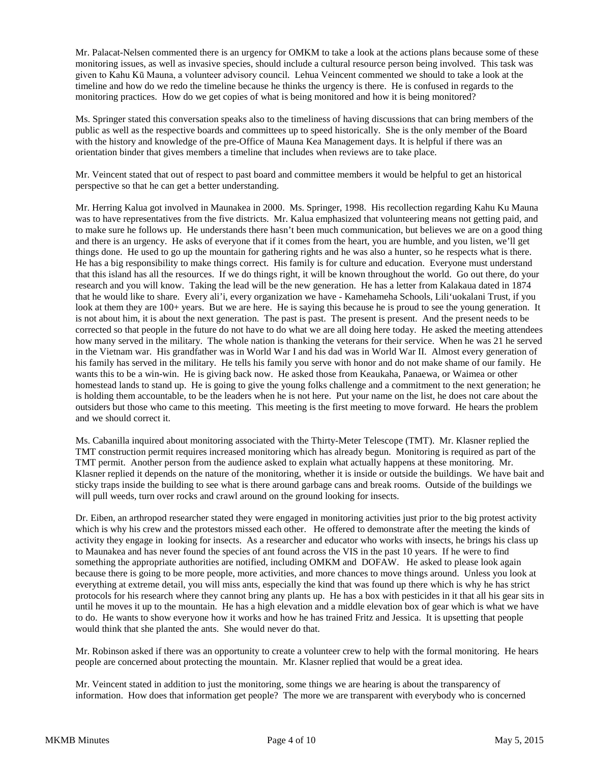Mr. Palacat-Nelsen commented there is an urgency for OMKM to take a look at the actions plans because some of these monitoring issues, as well as invasive species, should include a cultural resource person being involved. This task was given to Kahu Kū Mauna, a volunteer advisory council. Lehua Veincent commented we should to take a look at the timeline and how do we redo the timeline because he thinks the urgency is there. He is confused in regards to the monitoring practices. How do we get copies of what is being monitored and how it is being monitored?

Ms. Springer stated this conversation speaks also to the timeliness of having discussions that can bring members of the public as well as the respective boards and committees up to speed historically. She is the only member of the Board with the history and knowledge of the pre-Office of Mauna Kea Management days. It is helpful if there was an orientation binder that gives members a timeline that includes when reviews are to take place.

Mr. Veincent stated that out of respect to past board and committee members it would be helpful to get an historical perspective so that he can get a better understanding.

Mr. Herring Kalua got involved in Maunakea in 2000. Ms. Springer, 1998. His recollection regarding Kahu Ku Mauna was to have representatives from the five districts. Mr. Kalua emphasized that volunteering means not getting paid, and to make sure he follows up. He understands there hasn't been much communication, but believes we are on a good thing and there is an urgency. He asks of everyone that if it comes from the heart, you are humble, and you listen, we'll get things done. He used to go up the mountain for gathering rights and he was also a hunter, so he respects what is there. He has a big responsibility to make things correct. His family is for culture and education. Everyone must understand that this island has all the resources. If we do things right, it will be known throughout the world. Go out there, do your research and you will know. Taking the lead will be the new generation. He has a letter from Kalakaua dated in 1874 that he would like to share. Every ali'i, every organization we have - Kamehameha Schools, Lili'uokalani Trust, if you look at them they are 100+ years. But we are here. He is saying this because he is proud to see the young generation. It is not about him, it is about the next generation. The past is past. The present is present. And the present needs to be corrected so that people in the future do not have to do what we are all doing here today. He asked the meeting attendees how many served in the military. The whole nation is thanking the veterans for their service. When he was 21 he served in the Vietnam war. His grandfather was in World War I and his dad was in World War II. Almost every generation of his family has served in the military. He tells his family you serve with honor and do not make shame of our family. He wants this to be a win-win. He is giving back now. He asked those from Keaukaha, Panaewa, or Waimea or other homestead lands to stand up. He is going to give the young folks challenge and a commitment to the next generation; he is holding them accountable, to be the leaders when he is not here. Put your name on the list, he does not care about the outsiders but those who came to this meeting. This meeting is the first meeting to move forward. He hears the problem and we should correct it.

Ms. Cabanilla inquired about monitoring associated with the Thirty-Meter Telescope (TMT). Mr. Klasner replied the TMT construction permit requires increased monitoring which has already begun. Monitoring is required as part of the TMT permit. Another person from the audience asked to explain what actually happens at these monitoring. Mr. Klasner replied it depends on the nature of the monitoring, whether it is inside or outside the buildings. We have bait and sticky traps inside the building to see what is there around garbage cans and break rooms. Outside of the buildings we will pull weeds, turn over rocks and crawl around on the ground looking for insects.

Dr. Eiben, an arthropod researcher stated they were engaged in monitoring activities just prior to the big protest activity which is why his crew and the protestors missed each other. He offered to demonstrate after the meeting the kinds of activity they engage in looking for insects. As a researcher and educator who works with insects, he brings his class up to Maunakea and has never found the species of ant found across the VIS in the past 10 years. If he were to find something the appropriate authorities are notified, including OMKM and DOFAW. He asked to please look again because there is going to be more people, more activities, and more chances to move things around. Unless you look at everything at extreme detail, you will miss ants, especially the kind that was found up there which is why he has strict protocols for his research where they cannot bring any plants up. He has a box with pesticides in it that all his gear sits in until he moves it up to the mountain. He has a high elevation and a middle elevation box of gear which is what we have to do. He wants to show everyone how it works and how he has trained Fritz and Jessica. It is upsetting that people would think that she planted the ants. She would never do that.

Mr. Robinson asked if there was an opportunity to create a volunteer crew to help with the formal monitoring. He hears people are concerned about protecting the mountain. Mr. Klasner replied that would be a great idea.

Mr. Veincent stated in addition to just the monitoring, some things we are hearing is about the transparency of information. How does that information get people? The more we are transparent with everybody who is concerned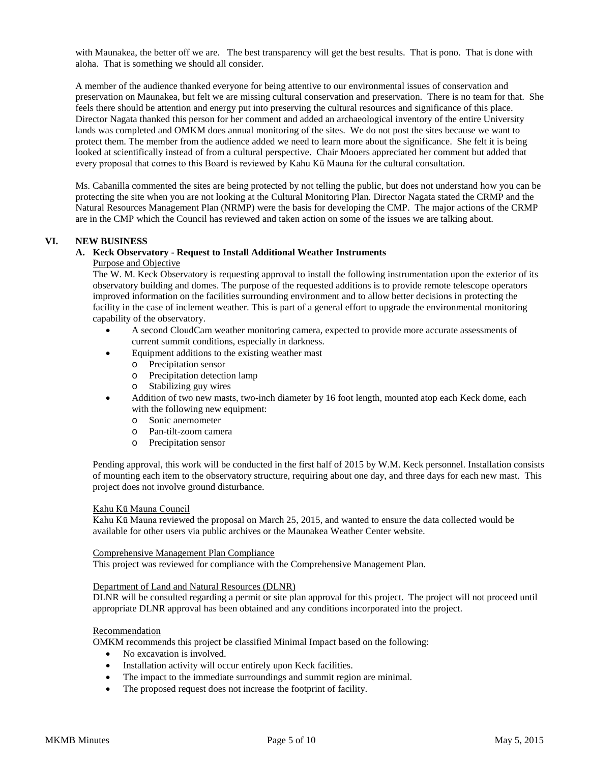with Maunakea, the better off we are. The best transparency will get the best results. That is pono. That is done with aloha. That is something we should all consider.

A member of the audience thanked everyone for being attentive to our environmental issues of conservation and preservation on Maunakea, but felt we are missing cultural conservation and preservation. There is no team for that. She feels there should be attention and energy put into preserving the cultural resources and significance of this place. Director Nagata thanked this person for her comment and added an archaeological inventory of the entire University lands was completed and OMKM does annual monitoring of the sites. We do not post the sites because we want to protect them. The member from the audience added we need to learn more about the significance. She felt it is being looked at scientifically instead of from a cultural perspective. Chair Mooers appreciated her comment but added that every proposal that comes to this Board is reviewed by Kahu Kū Mauna for the cultural consultation.

Ms. Cabanilla commented the sites are being protected by not telling the public, but does not understand how you can be protecting the site when you are not looking at the Cultural Monitoring Plan. Director Nagata stated the CRMP and the Natural Resources Management Plan (NRMP) were the basis for developing the CMP. The major actions of the CRMP are in the CMP which the Council has reviewed and taken action on some of the issues we are talking about.

## **VI. NEW BUSINESS**

#### **A. Keck Observatory - Request to Install Additional Weather Instruments**

#### Purpose and Objective

The W. M. Keck Observatory is requesting approval to install the following instrumentation upon the exterior of its observatory building and domes. The purpose of the requested additions is to provide remote telescope operators improved information on the facilities surrounding environment and to allow better decisions in protecting the facility in the case of inclement weather. This is part of a general effort to upgrade the environmental monitoring capability of the observatory.

- A second CloudCam weather monitoring camera, expected to provide more accurate assessments of current summit conditions, especially in darkness.
- Equipment additions to the existing weather mast
	- o Precipitation sensor
	- o Precipitation detection lamp
	- o Stabilizing guy wires
- Addition of two new masts, two-inch diameter by 16 foot length, mounted atop each Keck dome, each with the following new equipment:
	- o Sonic anemometer
	- o Pan-tilt-zoom camera
	- o Precipitation sensor

Pending approval, this work will be conducted in the first half of 2015 by W.M. Keck personnel. Installation consists of mounting each item to the observatory structure, requiring about one day, and three days for each new mast. This project does not involve ground disturbance.

#### Kahu Kū Mauna Council

Kahu Kū Mauna reviewed the proposal on March 25, 2015, and wanted to ensure the data collected would be available for other users via public archives or the Maunakea Weather Center website.

#### Comprehensive Management Plan Compliance

This project was reviewed for compliance with the Comprehensive Management Plan.

#### Department of Land and Natural Resources (DLNR)

DLNR will be consulted regarding a permit or site plan approval for this project. The project will not proceed until appropriate DLNR approval has been obtained and any conditions incorporated into the project.

#### **Recommendation**

OMKM recommends this project be classified Minimal Impact based on the following:

- No excavation is involved.
- Installation activity will occur entirely upon Keck facilities.
- The impact to the immediate surroundings and summit region are minimal.
- The proposed request does not increase the footprint of facility.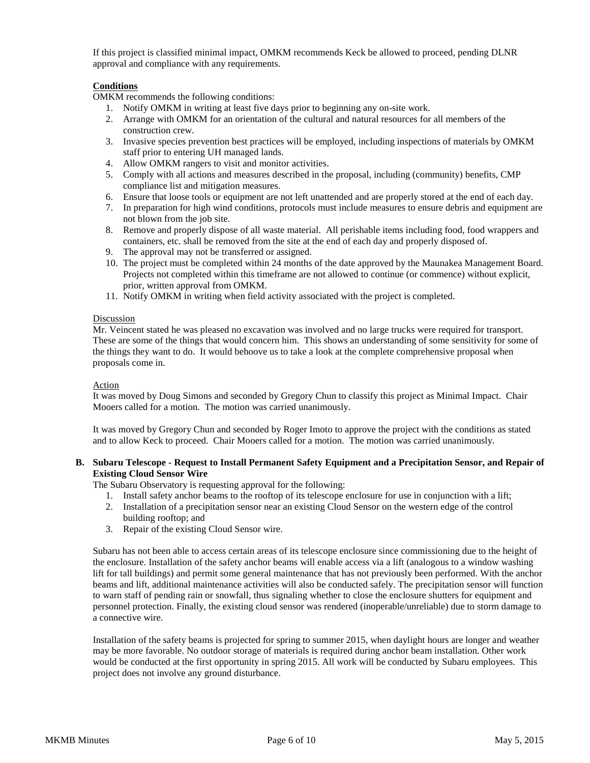If this project is classified minimal impact, OMKM recommends Keck be allowed to proceed, pending DLNR approval and compliance with any requirements.

## **Conditions**

OMKM recommends the following conditions:

- 1. Notify OMKM in writing at least five days prior to beginning any on-site work.
- 2. Arrange with OMKM for an orientation of the cultural and natural resources for all members of the construction crew.
- 3. Invasive species prevention best practices will be employed, including inspections of materials by OMKM staff prior to entering UH managed lands.
- 4. Allow OMKM rangers to visit and monitor activities.
- 5. Comply with all actions and measures described in the proposal, including (community) benefits, CMP compliance list and mitigation measures.
- 6. Ensure that loose tools or equipment are not left unattended and are properly stored at the end of each day.
- 7. In preparation for high wind conditions, protocols must include measures to ensure debris and equipment are not blown from the job site.
- 8. Remove and properly dispose of all waste material. All perishable items including food, food wrappers and containers, etc. shall be removed from the site at the end of each day and properly disposed of.
- 9. The approval may not be transferred or assigned.
- 10. The project must be completed within 24 months of the date approved by the Maunakea Management Board. Projects not completed within this timeframe are not allowed to continue (or commence) without explicit, prior, written approval from OMKM.
- 11. Notify OMKM in writing when field activity associated with the project is completed.

## **Discussion**

Mr. Veincent stated he was pleased no excavation was involved and no large trucks were required for transport. These are some of the things that would concern him. This shows an understanding of some sensitivity for some of the things they want to do. It would behoove us to take a look at the complete comprehensive proposal when proposals come in.

#### Action

It was moved by Doug Simons and seconded by Gregory Chun to classify this project as Minimal Impact. Chair Mooers called for a motion. The motion was carried unanimously.

It was moved by Gregory Chun and seconded by Roger Imoto to approve the project with the conditions as stated and to allow Keck to proceed. Chair Mooers called for a motion. The motion was carried unanimously.

#### **B. Subaru Telescope - Request to Install Permanent Safety Equipment and a Precipitation Sensor, and Repair of Existing Cloud Sensor Wire**

The Subaru Observatory is requesting approval for the following:

- 1. Install safety anchor beams to the rooftop of its telescope enclosure for use in conjunction with a lift;
- 2. Installation of a precipitation sensor near an existing Cloud Sensor on the western edge of the control building rooftop; and
- 3. Repair of the existing Cloud Sensor wire.

Subaru has not been able to access certain areas of its telescope enclosure since commissioning due to the height of the enclosure. Installation of the safety anchor beams will enable access via a lift (analogous to a window washing lift for tall buildings) and permit some general maintenance that has not previously been performed. With the anchor beams and lift, additional maintenance activities will also be conducted safely. The precipitation sensor will function to warn staff of pending rain or snowfall, thus signaling whether to close the enclosure shutters for equipment and personnel protection. Finally, the existing cloud sensor was rendered (inoperable/unreliable) due to storm damage to a connective wire.

Installation of the safety beams is projected for spring to summer 2015, when daylight hours are longer and weather may be more favorable. No outdoor storage of materials is required during anchor beam installation. Other work would be conducted at the first opportunity in spring 2015. All work will be conducted by Subaru employees. This project does not involve any ground disturbance.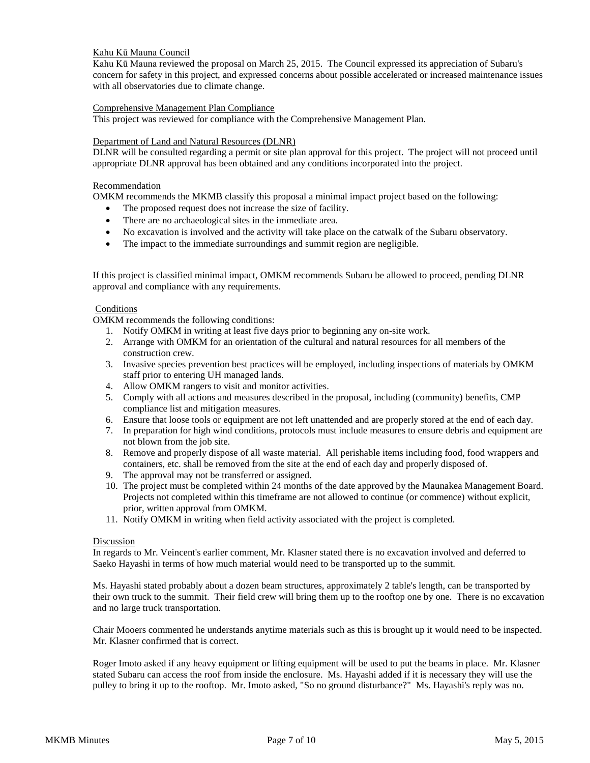## Kahu Kū Mauna Council

Kahu Kū Mauna reviewed the proposal on March 25, 2015. The Council expressed its appreciation of Subaru's concern for safety in this project, and expressed concerns about possible accelerated or increased maintenance issues with all observatories due to climate change.

#### Comprehensive Management Plan Compliance

This project was reviewed for compliance with the Comprehensive Management Plan.

#### Department of Land and Natural Resources (DLNR)

DLNR will be consulted regarding a permit or site plan approval for this project. The project will not proceed until appropriate DLNR approval has been obtained and any conditions incorporated into the project.

#### Recommendation

OMKM recommends the MKMB classify this proposal a minimal impact project based on the following:

- The proposed request does not increase the size of facility.
- There are no archaeological sites in the immediate area.
- No excavation is involved and the activity will take place on the catwalk of the Subaru observatory.
- The impact to the immediate surroundings and summit region are negligible.

If this project is classified minimal impact, OMKM recommends Subaru be allowed to proceed, pending DLNR approval and compliance with any requirements.

#### Conditions

OMKM recommends the following conditions:

- 1. Notify OMKM in writing at least five days prior to beginning any on-site work.
- 2. Arrange with OMKM for an orientation of the cultural and natural resources for all members of the construction crew.
- 3. Invasive species prevention best practices will be employed, including inspections of materials by OMKM staff prior to entering UH managed lands.
- 4. Allow OMKM rangers to visit and monitor activities.
- 5. Comply with all actions and measures described in the proposal, including (community) benefits, CMP compliance list and mitigation measures.
- 6. Ensure that loose tools or equipment are not left unattended and are properly stored at the end of each day.
- 7. In preparation for high wind conditions, protocols must include measures to ensure debris and equipment are not blown from the job site.
- 8. Remove and properly dispose of all waste material. All perishable items including food, food wrappers and containers, etc. shall be removed from the site at the end of each day and properly disposed of.
- 9. The approval may not be transferred or assigned.
- 10. The project must be completed within 24 months of the date approved by the Maunakea Management Board. Projects not completed within this timeframe are not allowed to continue (or commence) without explicit, prior, written approval from OMKM.
- 11. Notify OMKM in writing when field activity associated with the project is completed.

## Discussion

In regards to Mr. Veincent's earlier comment, Mr. Klasner stated there is no excavation involved and deferred to Saeko Hayashi in terms of how much material would need to be transported up to the summit.

Ms. Hayashi stated probably about a dozen beam structures, approximately 2 table's length, can be transported by their own truck to the summit. Their field crew will bring them up to the rooftop one by one. There is no excavation and no large truck transportation.

Chair Mooers commented he understands anytime materials such as this is brought up it would need to be inspected. Mr. Klasner confirmed that is correct.

Roger Imoto asked if any heavy equipment or lifting equipment will be used to put the beams in place. Mr. Klasner stated Subaru can access the roof from inside the enclosure. Ms. Hayashi added if it is necessary they will use the pulley to bring it up to the rooftop. Mr. Imoto asked, "So no ground disturbance?" Ms. Hayashi's reply was no.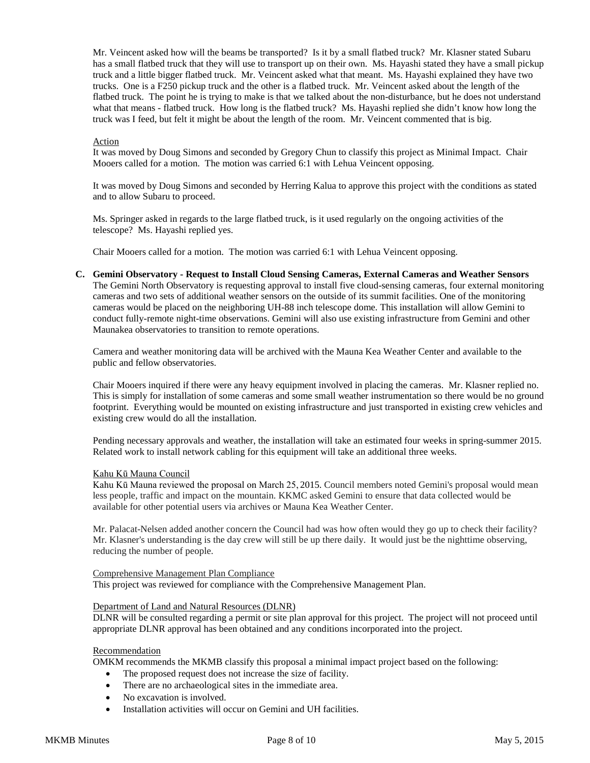Mr. Veincent asked how will the beams be transported? Is it by a small flatbed truck? Mr. Klasner stated Subaru has a small flatbed truck that they will use to transport up on their own. Ms. Hayashi stated they have a small pickup truck and a little bigger flatbed truck. Mr. Veincent asked what that meant. Ms. Hayashi explained they have two trucks. One is a F250 pickup truck and the other is a flatbed truck. Mr. Veincent asked about the length of the flatbed truck. The point he is trying to make is that we talked about the non-disturbance, but he does not understand what that means - flatbed truck. How long is the flatbed truck? Ms. Hayashi replied she didn't know how long the truck was I feed, but felt it might be about the length of the room. Mr. Veincent commented that is big.

#### Action

It was moved by Doug Simons and seconded by Gregory Chun to classify this project as Minimal Impact. Chair Mooers called for a motion. The motion was carried 6:1 with Lehua Veincent opposing.

It was moved by Doug Simons and seconded by Herring Kalua to approve this project with the conditions as stated and to allow Subaru to proceed.

Ms. Springer asked in regards to the large flatbed truck, is it used regularly on the ongoing activities of the telescope? Ms. Hayashi replied yes.

Chair Mooers called for a motion. The motion was carried 6:1 with Lehua Veincent opposing.

**C. Gemini Observatory - Request to Install Cloud Sensing Cameras, External Cameras and Weather Sensors** The Gemini North Observatory is requesting approval to install five cloud-sensing cameras, four external monitoring cameras and two sets of additional weather sensors on the outside of its summit facilities. One of the monitoring cameras would be placed on the neighboring UH-88 inch telescope dome. This installation will allow Gemini to conduct fully-remote night-time observations. Gemini will also use existing infrastructure from Gemini and other Maunakea observatories to transition to remote operations.

Camera and weather monitoring data will be archived with the Mauna Kea Weather Center and available to the public and fellow observatories.

Chair Mooers inquired if there were any heavy equipment involved in placing the cameras. Mr. Klasner replied no. This is simply for installation of some cameras and some small weather instrumentation so there would be no ground footprint. Everything would be mounted on existing infrastructure and just transported in existing crew vehicles and existing crew would do all the installation.

Pending necessary approvals and weather, the installation will take an estimated four weeks in spring-summer 2015. Related work to install network cabling for this equipment will take an additional three weeks.

#### Kahu Kū Mauna Council

Kahu Kū Mauna reviewed the proposal on March 25, 2015. Council members noted Gemini's proposal would mean less people, traffic and impact on the mountain. KKMC asked Gemini to ensure that data collected would be available for other potential users via archives or Mauna Kea Weather Center.

Mr. Palacat-Nelsen added another concern the Council had was how often would they go up to check their facility? Mr. Klasner's understanding is the day crew will still be up there daily. It would just be the nighttime observing, reducing the number of people.

#### Comprehensive Management Plan Compliance

This project was reviewed for compliance with the Comprehensive Management Plan.

#### Department of Land and Natural Resources (DLNR)

DLNR will be consulted regarding a permit or site plan approval for this project. The project will not proceed until appropriate DLNR approval has been obtained and any conditions incorporated into the project.

#### Recommendation

OMKM recommends the MKMB classify this proposal a minimal impact project based on the following:

- The proposed request does not increase the size of facility.
- There are no archaeological sites in the immediate area.
- No excavation is involved.
- Installation activities will occur on Gemini and UH facilities.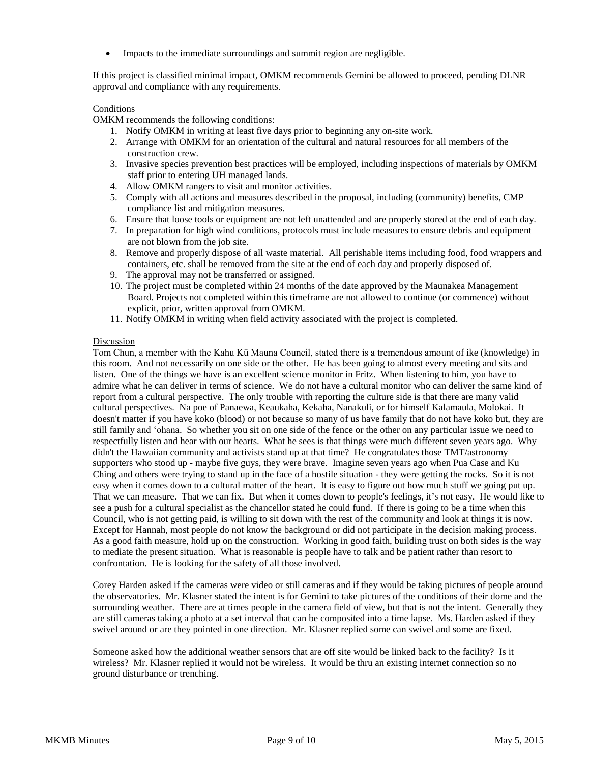• Impacts to the immediate surroundings and summit region are negligible.

If this project is classified minimal impact, OMKM recommends Gemini be allowed to proceed, pending DLNR approval and compliance with any requirements.

## Conditions

OMKM recommends the following conditions:

- 1. Notify OMKM in writing at least five days prior to beginning any on-site work.
- 2. Arrange with OMKM for an orientation of the cultural and natural resources for all members of the construction crew.
- 3. Invasive species prevention best practices will be employed, including inspections of materials by OMKM staff prior to entering UH managed lands.
- 4. Allow OMKM rangers to visit and monitor activities.
- 5. Comply with all actions and measures described in the proposal, including (community) benefits, CMP compliance list and mitigation measures.
- 6. Ensure that loose tools or equipment are not left unattended and are properly stored at the end of each day.
- 7. In preparation for high wind conditions, protocols must include measures to ensure debris and equipment are not blown from the job site.
- 8. Remove and properly dispose of all waste material. All perishable items including food, food wrappers and containers, etc. shall be removed from the site at the end of each day and properly disposed of.
- 9. The approval may not be transferred or assigned.
- 10. The project must be completed within 24 months of the date approved by the Maunakea Management Board. Projects not completed within this timeframe are not allowed to continue (or commence) without explicit, prior, written approval from OMKM.
- 11. Notify OMKM in writing when field activity associated with the project is completed.

#### Discussion

Tom Chun, a member with the Kahu Kū Mauna Council, stated there is a tremendous amount of ike (knowledge) in this room. And not necessarily on one side or the other. He has been going to almost every meeting and sits and listen. One of the things we have is an excellent science monitor in Fritz. When listening to him, you have to admire what he can deliver in terms of science. We do not have a cultural monitor who can deliver the same kind of report from a cultural perspective. The only trouble with reporting the culture side is that there are many valid cultural perspectives. Na poe of Panaewa, Keaukaha, Kekaha, Nanakuli, or for himself Kalamaula, Molokai. It doesn't matter if you have koko (blood) or not because so many of us have family that do not have koko but, they are still family and ʻohana. So whether you sit on one side of the fence or the other on any particular issue we need to respectfully listen and hear with our hearts. What he sees is that things were much different seven years ago. Why didn't the Hawaiian community and activists stand up at that time? He congratulates those TMT/astronomy supporters who stood up - maybe five guys, they were brave. Imagine seven years ago when Pua Case and Ku Ching and others were trying to stand up in the face of a hostile situation - they were getting the rocks. So it is not easy when it comes down to a cultural matter of the heart. It is easy to figure out how much stuff we going put up. That we can measure. That we can fix. But when it comes down to people's feelings, it's not easy. He would like to see a push for a cultural specialist as the chancellor stated he could fund. If there is going to be a time when this Council, who is not getting paid, is willing to sit down with the rest of the community and look at things it is now. Except for Hannah, most people do not know the background or did not participate in the decision making process. As a good faith measure, hold up on the construction. Working in good faith, building trust on both sides is the way to mediate the present situation. What is reasonable is people have to talk and be patient rather than resort to confrontation. He is looking for the safety of all those involved.

Corey Harden asked if the cameras were video or still cameras and if they would be taking pictures of people around the observatories. Mr. Klasner stated the intent is for Gemini to take pictures of the conditions of their dome and the surrounding weather. There are at times people in the camera field of view, but that is not the intent. Generally they are still cameras taking a photo at a set interval that can be composited into a time lapse. Ms. Harden asked if they swivel around or are they pointed in one direction. Mr. Klasner replied some can swivel and some are fixed.

Someone asked how the additional weather sensors that are off site would be linked back to the facility? Is it wireless? Mr. Klasner replied it would not be wireless. It would be thru an existing internet connection so no ground disturbance or trenching.